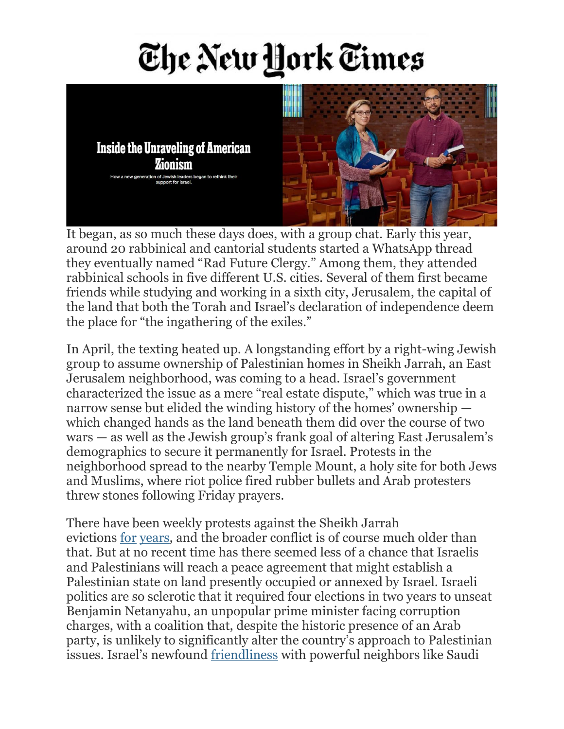## The New York Times

**Inside the Unraveling of American** Zionism How a new generation of Jewish leaders began to rethink

It began, as so much these days does, with a group chat. Early this year, around 20 rabbinical and cantorial students started a WhatsApp thread they eventually named "Rad Future Clergy." Among them, they attended rabbinical schools in five different U.S. cities. Several of them first became friends while studying and working in a sixth city, Jerusalem, the capital of the land that both the Torah and Israel's declaration of independence deem the place for "the ingathering of the exiles."

In April, the texting heated up. A longstanding effort by a right-wing Jewish group to assume ownership of Palestinian homes in Sheikh Jarrah, an East Jerusalem neighborhood, was coming to a head. Israel's government characterized the issue as a mere "real estate dispute," which was true in a narrow sense but elided the winding history of the homes' ownership which changed hands as the land beneath them did over the course of two wars — as well as the Jewish group's frank goal of altering East Jerusalem's demographics to secure it permanently for Israel. Protests in the neighborhood spread to the nearby Temple Mount, a holy site for both Jews and Muslims, where riot police fired rubber bullets and Arab protesters threw stones following Friday prayers.

There have been weekly protests against the Sheikh Jarrah evictions [for](https://www.972mag.com/protest-sheikh-jarrah-palestinian-evictions/) [years,](https://www.haaretz.com/1.5146560) and the broader conflict is of course much older than that. But at no recent time has there seemed less of a chance that Israelis and Palestinians will reach a peace agreement that might establish a Palestinian state on land presently occupied or annexed by Israel. Israeli politics are so sclerotic that it required four elections in two years to unseat Benjamin Netanyahu, an unpopular prime minister facing corruption charges, with a coalition that, despite the historic presence of an Arab party, is unlikely to significantly alter the country's approach to Palestinian issues. Israel's newfound [friendliness](https://www.brookings.edu/research/the-emergence-of-gcc-israel-relations-in-a-changing-middle-east/) with powerful neighbors like Saudi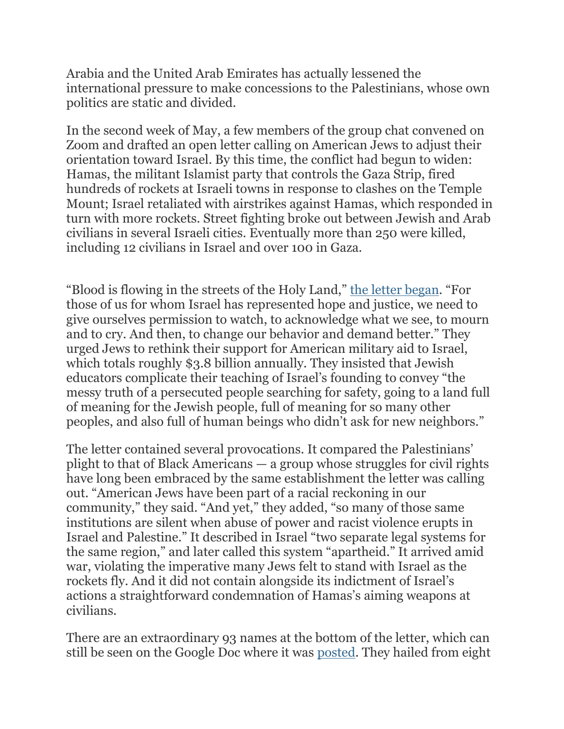Arabia and the United Arab Emirates has actually lessened the international pressure to make concessions to the Palestinians, whose own politics are static and divided.

In the second week of May, a few members of the group chat convened on Zoom and drafted an open letter calling on American Jews to adjust their orientation toward Israel. By this time, the conflict had begun to widen: Hamas, the militant Islamist party that controls the Gaza Strip, fired hundreds of rockets at Israeli towns in response to clashes on the Temple Mount; Israel retaliated with airstrikes against Hamas, which responded in turn with more rockets. Street fighting broke out between Jewish and Arab civilians in several Israeli cities. Eventually more than 250 were killed, including 12 civilians in Israel and over 100 in Gaza.

"Blood is flowing in the streets of the Holy Land," the letter [began](https://docs.google.com/document/d/17iNzy0uThn6YECqiBx9t_R-WAHF7m2Kkxxiq8v0IfPA/edit). "For those of us for whom Israel has represented hope and justice, we need to give ourselves permission to watch, to acknowledge what we see, to mourn and to cry. And then, to change our behavior and demand better." They urged Jews to rethink their support for American military aid to Israel, which totals roughly \$3.8 billion annually. They insisted that Jewish educators complicate their teaching of Israel's founding to convey "the messy truth of a persecuted people searching for safety, going to a land full of meaning for the Jewish people, full of meaning for so many other peoples, and also full of human beings who didn't ask for new neighbors."

The letter contained several provocations. It compared the Palestinians' plight to that of Black Americans — a group whose struggles for civil rights have long been embraced by the same establishment the letter was calling out. "American Jews have been part of a racial reckoning in our community," they said. "And yet," they added, "so many of those same institutions are silent when abuse of power and racist violence erupts in Israel and Palestine." It described in Israel "two separate legal systems for the same region," and later called this system "apartheid." It arrived amid war, violating the imperative many Jews felt to stand with Israel as the rockets fly. And it did not contain alongside its indictment of Israel's actions a straightforward condemnation of Hamas's aiming weapons at civilians.

There are an extraordinary 93 names at the bottom of the letter, which can still be seen on the Google Doc where it was [posted.](https://docs.google.com/document/d/17iNzy0uThn6YECqiBx9t_R-WAHF7m2Kkxxiq8v0IfPA/edit) They hailed from eight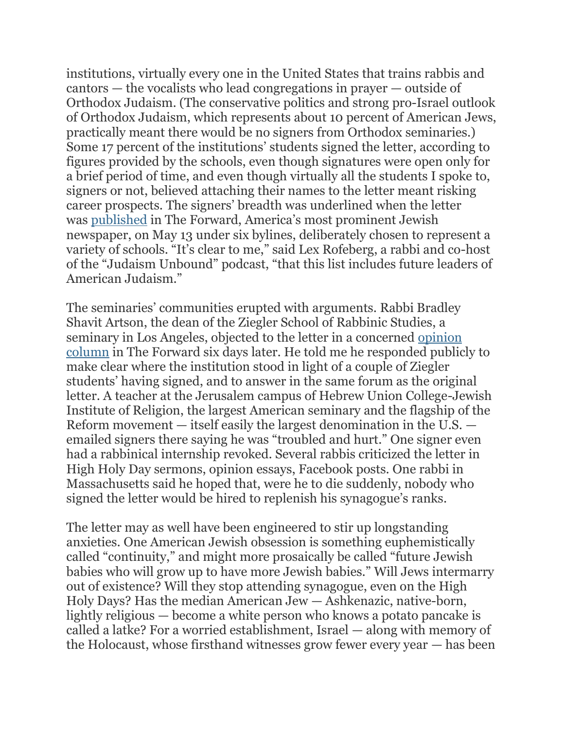institutions, virtually every one in the United States that trains rabbis and cantors — the vocalists who lead congregations in prayer — outside of Orthodox Judaism. (The conservative politics and strong pro-Israel outlook of Orthodox Judaism, which represents about 10 percent of American Jews, practically meant there would be no signers from Orthodox seminaries.) Some 17 percent of the institutions' students signed the letter, according to figures provided by the schools, even though signatures were open only for a brief period of time, and even though virtually all the students I spoke to, signers or not, believed attaching their names to the letter meant risking career prospects. The signers' breadth was underlined when the letter was [published](https://forward.com/scribe/469583/gates-of-tears-rabbinical-and-cantorial-students-stand-for-solidarity-with/) in The Forward, America's most prominent Jewish newspaper, on May 13 under six bylines, deliberately chosen to represent a variety of schools. "It's clear to me," said Lex Rofeberg, a rabbi and co-host of the "Judaism Unbound" podcast, "that this list includes future leaders of American Judaism."

The seminaries' communities erupted with arguments. Rabbi Bradley Shavit Artson, the dean of the Ziegler School of Rabbinic Studies, a seminary in Los Angeles, objected to the letter in a concerned [opinion](https://forward.com/scribe/469900/my-rabbinical-students-letter-shows-imbalance-and-a-lack-of-empathyfor/) [column](https://forward.com/scribe/469900/my-rabbinical-students-letter-shows-imbalance-and-a-lack-of-empathyfor/) in The Forward six days later. He told me he responded publicly to make clear where the institution stood in light of a couple of Ziegler students' having signed, and to answer in the same forum as the original letter. A teacher at the Jerusalem campus of Hebrew Union College-Jewish Institute of Religion, the largest American seminary and the flagship of the Reform movement — itself easily the largest denomination in the U.S. emailed signers there saying he was "troubled and hurt." One signer even had a rabbinical internship revoked. Several rabbis criticized the letter in High Holy Day sermons, opinion essays, Facebook posts. One rabbi in Massachusetts said he hoped that, were he to die suddenly, nobody who signed the letter would be hired to replenish his synagogue's ranks.

The letter may as well have been engineered to stir up longstanding anxieties. One American Jewish obsession is something euphemistically called "continuity," and might more prosaically be called "future Jewish babies who will grow up to have more Jewish babies." Will Jews intermarry out of existence? Will they stop attending synagogue, even on the High Holy Days? Has the median American Jew — Ashkenazic, native-born, lightly religious — become a white person who knows a potato pancake is called a latke? For a worried establishment, Israel — along with memory of the Holocaust, whose firsthand witnesses grow fewer every year — has been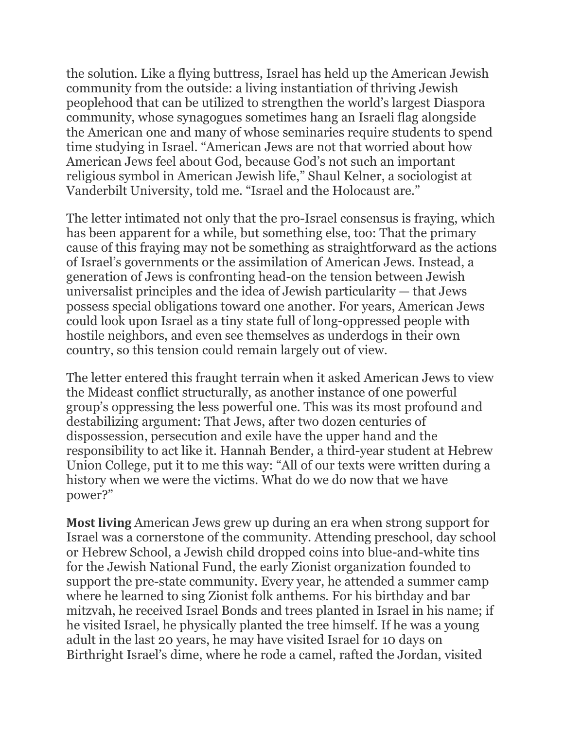the solution. Like a flying buttress, Israel has held up the American Jewish community from the outside: a living instantiation of thriving Jewish peoplehood that can be utilized to strengthen the world's largest Diaspora community, whose synagogues sometimes hang an Israeli flag alongside the American one and many of whose seminaries require students to spend time studying in Israel. "American Jews are not that worried about how American Jews feel about God, because God's not such an important religious symbol in American Jewish life," Shaul Kelner, a sociologist at Vanderbilt University, told me. "Israel and the Holocaust are."

The letter intimated not only that the pro-Israel consensus is fraying, which has been apparent for a while, but something else, too: That the primary cause of this fraying may not be something as straightforward as the actions of Israel's governments or the assimilation of American Jews. Instead, a generation of Jews is confronting head-on the tension between Jewish universalist principles and the idea of Jewish particularity — that Jews possess special obligations toward one another. For years, American Jews could look upon Israel as a tiny state full of long-oppressed people with hostile neighbors, and even see themselves as underdogs in their own country, so this tension could remain largely out of view.

The letter entered this fraught terrain when it asked American Jews to view the Mideast conflict structurally, as another instance of one powerful group's oppressing the less powerful one. This was its most profound and destabilizing argument: That Jews, after two dozen centuries of dispossession, persecution and exile have the upper hand and the responsibility to act like it. Hannah Bender, a third-year student at Hebrew Union College, put it to me this way: "All of our texts were written during a history when we were the victims. What do we do now that we have power?"

**Most living** American Jews grew up during an era when strong support for Israel was a cornerstone of the community. Attending preschool, day school or Hebrew School, a Jewish child dropped coins into blue-and-white tins for the Jewish National Fund, the early Zionist organization founded to support the pre-state community. Every year, he attended a summer camp where he learned to sing Zionist folk anthems. For his birthday and bar mitzvah, he received Israel Bonds and trees planted in Israel in his name; if he visited Israel, he physically planted the tree himself. If he was a young adult in the last 20 years, he may have visited Israel for 10 days on Birthright Israel's dime, where he rode a camel, rafted the Jordan, visited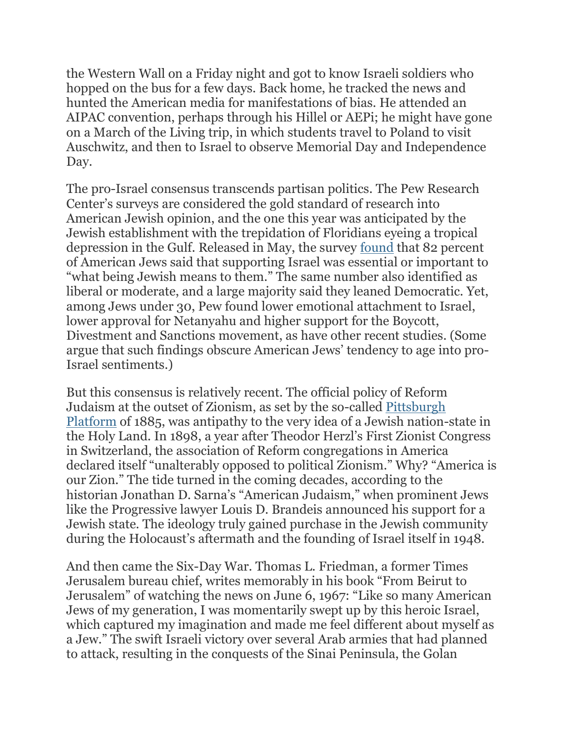the Western Wall on a Friday night and got to know Israeli soldiers who hopped on the bus for a few days. Back home, he tracked the news and hunted the American media for manifestations of bias. He attended an AIPAC convention, perhaps through his Hillel or AEPi; he might have gone on a March of the Living trip, in which students travel to Poland to visit Auschwitz, and then to Israel to observe Memorial Day and Independence Day.

The pro-Israel consensus transcends partisan politics. The Pew Research Center's surveys are considered the gold standard of research into American Jewish opinion, and the one this year was anticipated by the Jewish establishment with the trepidation of Floridians eyeing a tropical depression in the Gulf. Released in May, the survey [found](https://www.pewforum.org/2021/05/11/jewish-americans-in-2020/) that 82 percent of American Jews said that supporting Israel was essential or important to "what being Jewish means to them." The same number also identified as liberal or moderate, and a large majority said they leaned Democratic. Yet, among Jews under 30, Pew found lower emotional attachment to Israel, lower approval for Netanyahu and higher support for the Boycott, Divestment and Sanctions movement, as have other recent studies. (Some argue that such findings obscure American Jews' tendency to age into pro-Israel sentiments.)

But this consensus is relatively recent. The official policy of Reform Judaism at the outset of Zionism, as set by the so-called [Pittsburgh](https://www.jewishvirtuallibrary.org/the-pittsburgh-platform) [Platform](https://www.jewishvirtuallibrary.org/the-pittsburgh-platform) of 1885, was antipathy to the very idea of a Jewish nation-state in the Holy Land. In 1898, a year after Theodor Herzl's First Zionist Congress in Switzerland, the association of Reform congregations in America declared itself "unalterably opposed to political Zionism." Why? "America is our Zion." The tide turned in the coming decades, according to the historian Jonathan D. Sarna's "American Judaism," when prominent Jews like the Progressive lawyer Louis D. Brandeis announced his support for a Jewish state. The ideology truly gained purchase in the Jewish community during the Holocaust's aftermath and the founding of Israel itself in 1948.

And then came the Six-Day War. Thomas L. Friedman, a former Times Jerusalem bureau chief, writes memorably in his book "From Beirut to Jerusalem" of watching the news on June 6, 1967: "Like so many American Jews of my generation, I was momentarily swept up by this heroic Israel, which captured my imagination and made me feel different about myself as a Jew." The swift Israeli victory over several Arab armies that had planned to attack, resulting in the conquests of the Sinai Peninsula, the Golan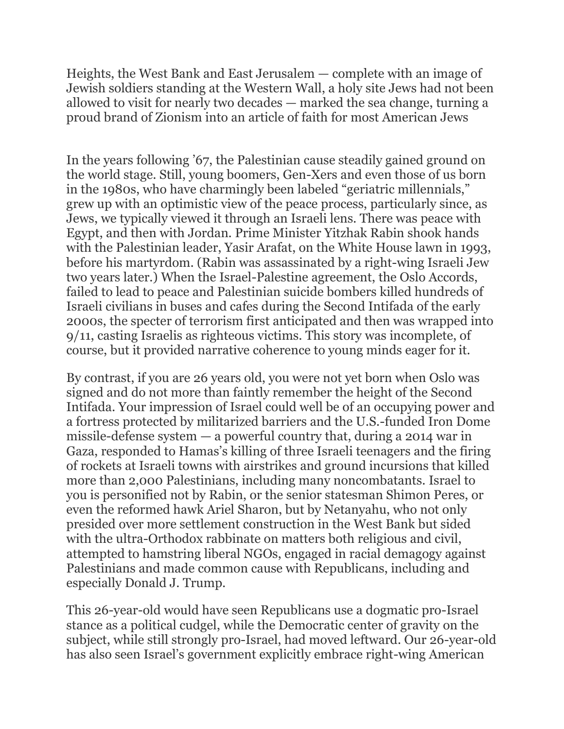Heights, the West Bank and East Jerusalem — complete with an image of Jewish soldiers standing at the Western Wall, a holy site Jews had not been allowed to visit for nearly two decades — marked the sea change, turning a proud brand of Zionism into an article of faith for most American Jews

In the years following '67, the Palestinian cause steadily gained ground on the world stage. Still, young boomers, Gen-Xers and even those of us born in the 1980s, who have charmingly been labeled "geriatric millennials," grew up with an optimistic view of the peace process, particularly since, as Jews, we typically viewed it through an Israeli lens. There was peace with Egypt, and then with Jordan. Prime Minister Yitzhak Rabin shook hands with the Palestinian leader, Yasir Arafat, on the White House lawn in 1993, before his martyrdom. (Rabin was assassinated by a right-wing Israeli Jew two years later.) When the Israel-Palestine agreement, the Oslo Accords, failed to lead to peace and Palestinian suicide bombers killed hundreds of Israeli civilians in buses and cafes during the Second Intifada of the early 2000s, the specter of terrorism first anticipated and then was wrapped into 9/11, casting Israelis as righteous victims. This story was incomplete, of course, but it provided narrative coherence to young minds eager for it.

By contrast, if you are 26 years old, you were not yet born when Oslo was signed and do not more than faintly remember the height of the Second Intifada. Your impression of Israel could well be of an occupying power and a fortress protected by militarized barriers and the U.S.-funded Iron Dome missile-defense system  $-$  a powerful country that, during a 2014 war in Gaza, responded to Hamas's killing of three Israeli teenagers and the firing of rockets at Israeli towns with airstrikes and ground incursions that killed more than 2,000 Palestinians, including many noncombatants. Israel to you is personified not by Rabin, or the senior statesman Shimon Peres, or even the reformed hawk Ariel Sharon, but by Netanyahu, who not only presided over more settlement construction in the West Bank but sided with the ultra-Orthodox rabbinate on matters both religious and civil, attempted to hamstring liberal NGOs, engaged in racial demagogy against Palestinians and made common cause with Republicans, including and especially Donald J. Trump.

This 26-year-old would have seen Republicans use a dogmatic pro-Israel stance as a political cudgel, while the Democratic center of gravity on the subject, while still strongly pro-Israel, had moved leftward. Our 26-year-old has also seen Israel's government explicitly embrace right-wing American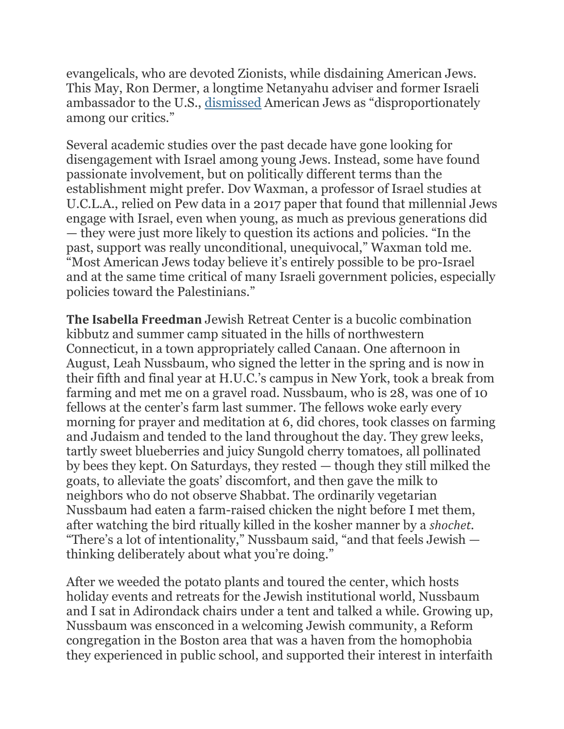evangelicals, who are devoted Zionists, while disdaining American Jews. This May, Ron Dermer, a longtime Netanyahu adviser and former Israeli ambassador to the U.S., [dismissed](https://www.timesofisrael.com/dermer-suggests-israel-should-prioritize-support-of-evangelicals-over-us-jews/) American Jews as "disproportionately among our critics."

Several academic studies over the past decade have gone looking for disengagement with Israel among young Jews. Instead, some have found passionate involvement, but on politically different terms than the establishment might prefer. Dov Waxman, a professor of Israel studies at U.C.L.A., relied on Pew data in a 2017 paper that found that millennial Jews engage with Israel, even when young, as much as previous generations did — they were just more likely to question its actions and policies. "In the past, support was really unconditional, unequivocal," Waxman told me. "Most American Jews today believe it's entirely possible to be pro-Israel and at the same time critical of many Israeli government policies, especially policies toward the Palestinians."

**The Isabella Freedman** Jewish Retreat Center is a bucolic combination kibbutz and summer camp situated in the hills of northwestern Connecticut, in a town appropriately called Canaan. One afternoon in August, Leah Nussbaum, who signed the letter in the spring and is now in their fifth and final year at H.U.C.'s campus in New York, took a break from farming and met me on a gravel road. Nussbaum, who is 28, was one of 10 fellows at the center's farm last summer. The fellows woke early every morning for prayer and meditation at 6, did chores, took classes on farming and Judaism and tended to the land throughout the day. They grew leeks, tartly sweet blueberries and juicy Sungold cherry tomatoes, all pollinated by bees they kept. On Saturdays, they rested — though they still milked the goats, to alleviate the goats' discomfort, and then gave the milk to neighbors who do not observe Shabbat. The ordinarily vegetarian Nussbaum had eaten a farm-raised chicken the night before I met them, after watching the bird ritually killed in the kosher manner by a *shochet*. "There's a lot of intentionality," Nussbaum said, "and that feels Jewish thinking deliberately about what you're doing."

After we weeded the potato plants and toured the center, which hosts holiday events and retreats for the Jewish institutional world, Nussbaum and I sat in Adirondack chairs under a tent and talked a while. Growing up, Nussbaum was ensconced in a welcoming Jewish community, a Reform congregation in the Boston area that was a haven from the homophobia they experienced in public school, and supported their interest in interfaith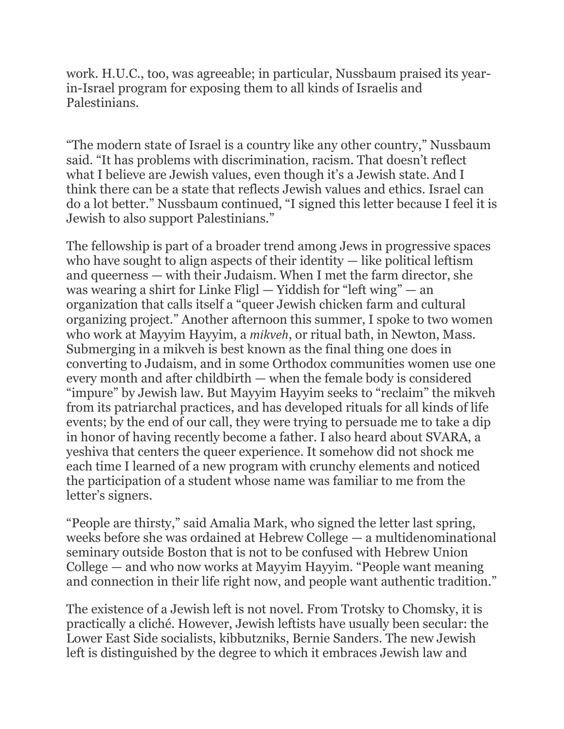work. H.U.C., too, was agreeable; in particular, Nussbaum praised its yearin-Israel program for exposing them to all kinds of Israelis and Palestinians.

"The modern state of Israel is a country like any other country," Nussbaum said. "It has problems with discrimination, racism. That doesn't reflect what I believe are Jewish values, even though it's a Jewish state. And I think there can be a state that reflects Jewish values and ethics. Israel can do a lot better." Nussbaum continued, "I signed this letter because I feel it is Jewish to also support Palestinians."

The fellowship is part of a broader trend among Jews in progressive spaces who have sought to align aspects of their identity — like political leftism and queerness — with their Judaism. When I met the farm director, she was wearing a shirt for Linke Fligl — Yiddish for "left wing" — an organization that calls itself a "queer Jewish chicken farm and cultural organizing project." Another afternoon this summer, I spoke to two women who work at Mayyim Hayyim, a *mikveh*, or ritual bath, in Newton, Mass. Submerging in a mikveh is best known as the final thing one does in converting to Judaism, and in some Orthodox communities women use one every month and after childbirth — when the female body is considered "impure" by Jewish law. But Mayyim Hayyim seeks to "reclaim" the mikveh from its patriarchal practices, and has developed rituals for all kinds of life events; by the end of our call, they were trying to persuade me to take a dip in honor of having recently become a father. I also heard about SVARA, a yeshiva that centers the queer experience. It somehow did not shock me each time I learned of a new program with crunchy elements and noticed the participation of a student whose name was familiar to me from the letter's signers.

"People are thirsty," said Amalia Mark, who signed the letter last spring, weeks before she was ordained at Hebrew College — a multidenominational seminary outside Boston that is not to be confused with Hebrew Union College — and who now works at Mayyim Hayyim. "People want meaning and connection in their life right now, and people want authentic tradition."

The existence of a Jewish left is not novel. From Trotsky to Chomsky, it is practically a cliché. However, Jewish leftists have usually been secular: the Lower East Side socialists, kibbutzniks, Bernie Sanders. The new Jewish left is distinguished by the degree to which it embraces Jewish law and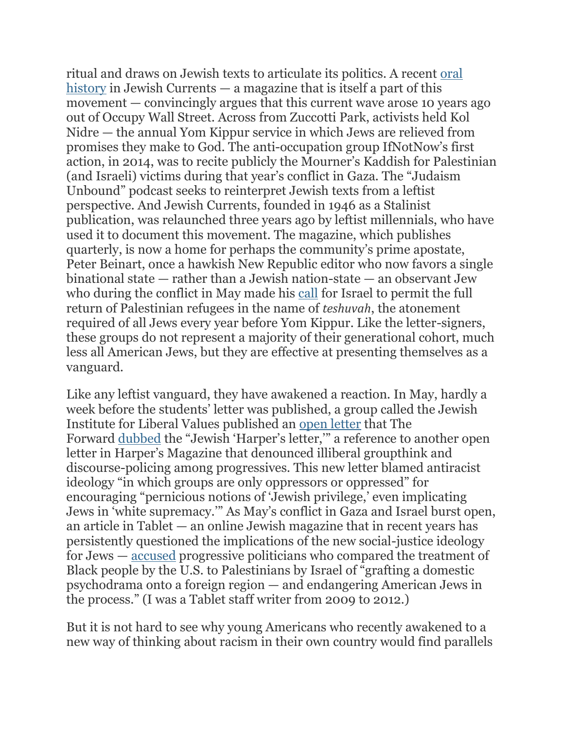ritual and draws on Jewish texts to articulate its politics. A recent [oral](https://jewishcurrents.org/what-the-jewish-left-learned-from-occupy) [history](https://jewishcurrents.org/what-the-jewish-left-learned-from-occupy) in Jewish Currents — a magazine that is itself a part of this movement — convincingly argues that this current wave arose 10 years ago out of Occupy Wall Street. Across from Zuccotti Park, activists held Kol Nidre — the annual Yom Kippur service in which Jews are relieved from promises they make to God. The anti-occupation group IfNotNow's first action, in 2014, was to recite publicly the Mourner's Kaddish for Palestinian (and Israeli) victims during that year's conflict in Gaza. The "Judaism Unbound" podcast seeks to reinterpret Jewish texts from a leftist perspective. And Jewish Currents, founded in 1946 as a Stalinist publication, was relaunched three years ago by leftist millennials, who have used it to document this movement. The magazine, which publishes quarterly, is now a home for perhaps the community's prime apostate, Peter Beinart, once a hawkish New Republic editor who now favors a single binational state — rather than a Jewish nation-state — an observant Jew who during the conflict in May made his [call](https://jewishcurrents.org/teshuvah-a-jewish-case-for-palestinian-refugee-return) for Israel to permit the full return of Palestinian refugees in the name of *teshuvah*, the atonement required of all Jews every year before Yom Kippur. Like the letter-signers, these groups do not represent a majority of their generational cohort, much less all American Jews, but they are effective at presenting themselves as a vanguard.

Like any leftist vanguard, they have awakened a reaction. In May, hardly a week before the students' letter was published, a group called the Jewish Institute for Liberal Values published an open [letter](https://jilv.org/be-heard/) that The Forward [dubbed](https://forward.com/news/468968/jewish-harpers-letter-decries-lack-of-dissent-in-racial-justice-movement/) the "Jewish 'Harper's letter,'" a reference to another open letter in Harper's Magazine that denounced illiberal groupthink and discourse-policing among progressives. This new letter blamed antiracist ideology "in which groups are only oppressors or oppressed" for encouraging "pernicious notions of 'Jewish privilege,' even implicating Jews in 'white supremacy.'" As May's conflict in Gaza and Israel burst open, an article in Tablet — an online Jewish magazine that in recent years has persistently questioned the implications of the new social-justice ideology for Jews — [accused](https://www.tabletmag.com/sections/news/articles/jamaal-bowman-liel-leibovitz) progressive politicians who compared the treatment of Black people by the U.S. to Palestinians by Israel of "grafting a domestic psychodrama onto a foreign region — and endangering American Jews in the process." (I was a Tablet staff writer from 2009 to 2012.)

But it is not hard to see why young Americans who recently awakened to a new way of thinking about racism in their own country would find parallels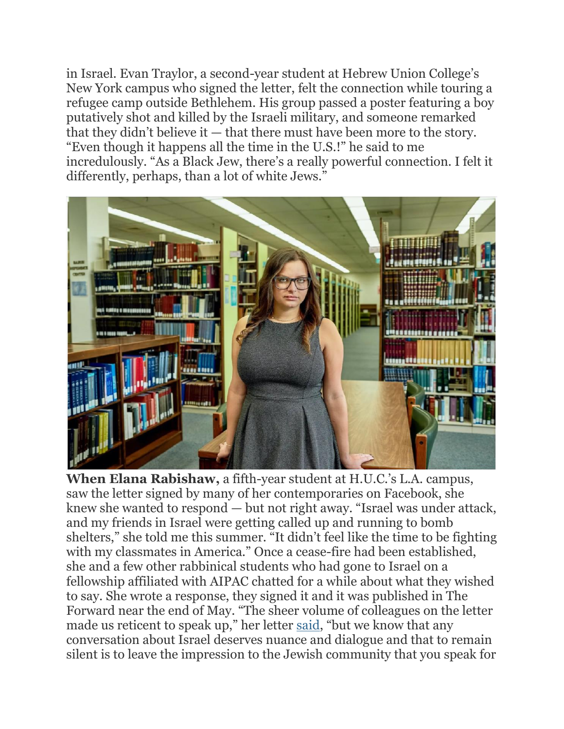in Israel. Evan Traylor, a second-year student at Hebrew Union College's New York campus who signed the letter, felt the connection while touring a refugee camp outside Bethlehem. His group passed a poster featuring a boy putatively shot and killed by the Israeli military, and someone remarked that they didn't believe it — that there must have been more to the story. "Even though it happens all the time in the U.S.!" he said to me incredulously. "As a Black Jew, there's a really powerful connection. I felt it differently, perhaps, than a lot of white Jews."



**When Elana Rabishaw,** a fifth-year student at H.U.C.'s L.A. campus, saw the letter signed by many of her contemporaries on Facebook, she knew she wanted to respond — but not right away. "Israel was under attack, and my friends in Israel were getting called up and running to bomb shelters," she told me this summer. "It didn't feel like the time to be fighting with my classmates in America." Once a cease-fire had been established, she and a few other rabbinical students who had gone to Israel on a fellowship affiliated with AIPAC chatted for a while about what they wished to say. She wrote a response, they signed it and it was published in The Forward near the end of May. "The sheer volume of colleagues on the letter made us reticent to speak up," her letter [said](https://forward.com/scribe/470464/our-fellow-rabbinical-students-are-wrong-to-criticize-israel-when-its/?fbclid=IwAR2REYe3xYVTDHuc8k8_EjgNOeorrX0M7g6QpImf2-FMVubVrcR6gWgqwn8), "but we know that any conversation about Israel deserves nuance and dialogue and that to remain silent is to leave the impression to the Jewish community that you speak for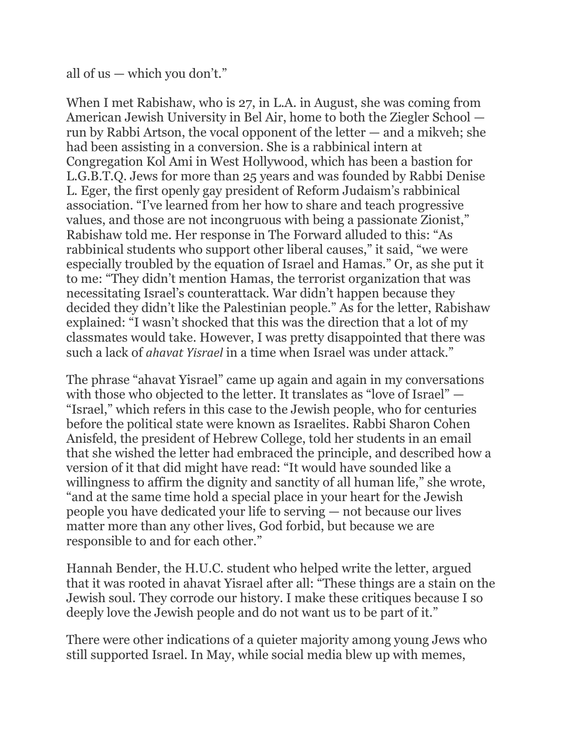all of us — which you don't."

When I met Rabishaw, who is 27, in L.A. in August, she was coming from American Jewish University in Bel Air, home to both the Ziegler School run by Rabbi Artson, the vocal opponent of the letter — and a mikveh; she had been assisting in a conversion. She is a rabbinical intern at Congregation Kol Ami in West Hollywood, which has been a bastion for L.G.B.T.Q. Jews for more than 25 years and was founded by Rabbi Denise L. Eger, the first openly gay president of Reform Judaism's rabbinical association. "I've learned from her how to share and teach progressive values, and those are not incongruous with being a passionate Zionist," Rabishaw told me. Her response in The Forward alluded to this: "As rabbinical students who support other liberal causes," it said, "we were especially troubled by the equation of Israel and Hamas." Or, as she put it to me: "They didn't mention Hamas, the terrorist organization that was necessitating Israel's counterattack. War didn't happen because they decided they didn't like the Palestinian people." As for the letter, Rabishaw explained: "I wasn't shocked that this was the direction that a lot of my classmates would take. However, I was pretty disappointed that there was such a lack of *ahavat Yisrael* in a time when Israel was under attack."

The phrase "ahavat Yisrael" came up again and again in my conversations with those who objected to the letter. It translates as "love of Israel" — "Israel," which refers in this case to the Jewish people, who for centuries before the political state were known as Israelites. Rabbi Sharon Cohen Anisfeld, the president of Hebrew College, told her students in an email that she wished the letter had embraced the principle, and described how a version of it that did might have read: "It would have sounded like a willingness to affirm the dignity and sanctity of all human life," she wrote, "and at the same time hold a special place in your heart for the Jewish people you have dedicated your life to serving — not because our lives matter more than any other lives, God forbid, but because we are responsible to and for each other."

Hannah Bender, the H.U.C. student who helped write the letter, argued that it was rooted in ahavat Yisrael after all: "These things are a stain on the Jewish soul. They corrode our history. I make these critiques because I so deeply love the Jewish people and do not want us to be part of it."

There were other indications of a quieter majority among young Jews who still supported Israel. In May, while social media blew up with memes,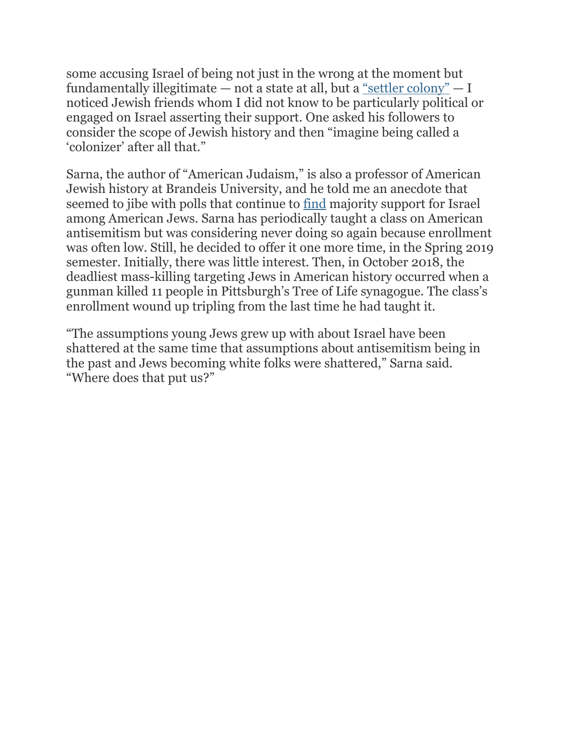some accusing Israel of being not just in the wrong at the moment but fundamentally illegitimate — not a state at all, but a "settler [colony"](https://www.instagram.com/p/CNz9-5tMkso/?igshid=tdiaxo33sqve) — I noticed Jewish friends whom I did not know to be particularly political or engaged on Israel asserting their support. One asked his followers to consider the scope of Jewish history and then "imagine being called a 'colonizer' after all that."

Sarna, the author of "American Judaism," is also a professor of American Jewish history at Brandeis University, and he told me an anecdote that seemed to jibe with polls that continue to [find](https://apnews.com/article/donald-trump-middle-east-race-and-ethnicity-religion-811fb850be613d16eec24949596603a9) majority support for Israel among American Jews. Sarna has periodically taught a class on American antisemitism but was considering never doing so again because enrollment was often low. Still, he decided to offer it one more time, in the Spring 2019 semester. Initially, there was little interest. Then, in October 2018, the deadliest mass-killing targeting Jews in American history occurred when a gunman killed 11 people in Pittsburgh's Tree of Life synagogue. The class's enrollment wound up tripling from the last time he had taught it.

"The assumptions young Jews grew up with about Israel have been shattered at the same time that assumptions about antisemitism being in the past and Jews becoming white folks were shattered," Sarna said. "Where does that put us?"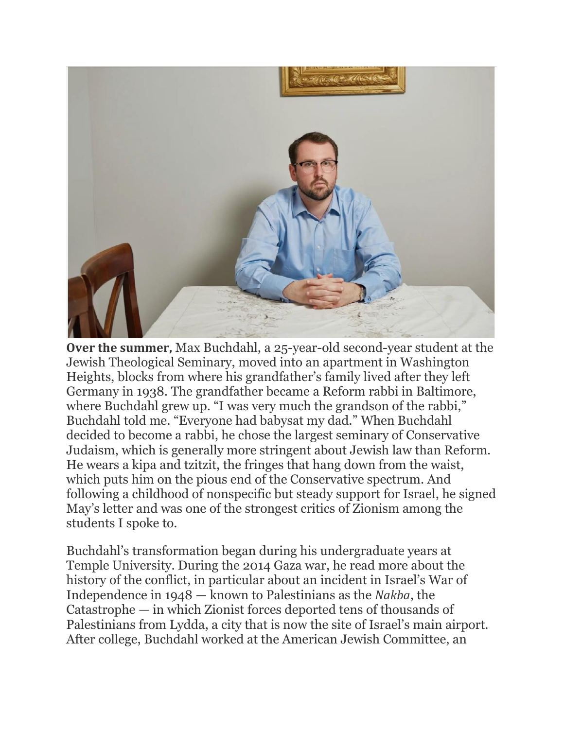

**Over the summer,** Max Buchdahl, a 25-year-old second-year student at the Jewish Theological Seminary, moved into an apartment in Washington Heights, blocks from where his grandfather's family lived after they left Germany in 1938. The grandfather became a Reform rabbi in Baltimore, where Buchdahl grew up. "I was very much the grandson of the rabbi," Buchdahl told me. "Everyone had babysat my dad." When Buchdahl decided to become a rabbi, he chose the largest seminary of Conservative Judaism, which is generally more stringent about Jewish law than Reform. He wears a kipa and tzitzit, the fringes that hang down from the waist, which puts him on the pious end of the Conservative spectrum. And following a childhood of nonspecific but steady support for Israel, he signed May's letter and was one of the strongest critics of Zionism among the students I spoke to.

Buchdahl's transformation began during his undergraduate years at Temple University. During the 2014 Gaza war, he read more about the history of the conflict, in particular about an incident in Israel's War of Independence in 1948 — known to Palestinians as the *Nakba*, the Catastrophe — in which Zionist forces deported tens of thousands of Palestinians from Lydda, a city that is now the site of Israel's main airport. After college, Buchdahl worked at the American Jewish Committee, an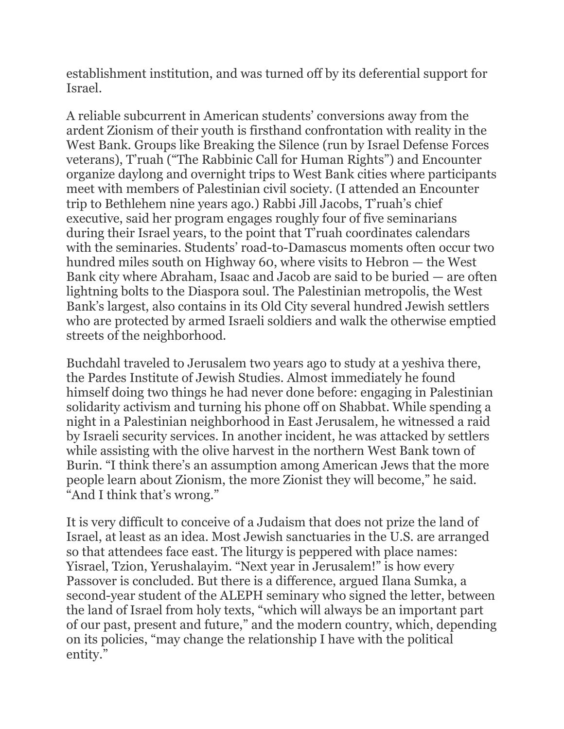establishment institution, and was turned off by its deferential support for Israel.

A reliable subcurrent in American students' conversions away from the ardent Zionism of their youth is firsthand confrontation with reality in the West Bank. Groups like Breaking the Silence (run by Israel Defense Forces veterans), T'ruah ("The Rabbinic Call for Human Rights") and Encounter organize daylong and overnight trips to West Bank cities where participants meet with members of Palestinian civil society. (I attended an Encounter trip to Bethlehem nine years ago.) Rabbi Jill Jacobs, T'ruah's chief executive, said her program engages roughly four of five seminarians during their Israel years, to the point that T'ruah coordinates calendars with the seminaries. Students' road-to-Damascus moments often occur two hundred miles south on Highway 60, where visits to Hebron — the West Bank city where Abraham, Isaac and Jacob are said to be buried — are often lightning bolts to the Diaspora soul. The Palestinian metropolis, the West Bank's largest, also contains in its Old City several hundred Jewish settlers who are protected by armed Israeli soldiers and walk the otherwise emptied streets of the neighborhood.

Buchdahl traveled to Jerusalem two years ago to study at a yeshiva there, the Pardes Institute of Jewish Studies. Almost immediately he found himself doing two things he had never done before: engaging in Palestinian solidarity activism and turning his phone off on Shabbat. While spending a night in a Palestinian neighborhood in East Jerusalem, he witnessed a raid by Israeli security services. In another incident, he was attacked by settlers while assisting with the olive harvest in the northern West Bank town of Burin. "I think there's an assumption among American Jews that the more people learn about Zionism, the more Zionist they will become," he said. "And I think that's wrong."

It is very difficult to conceive of a Judaism that does not prize the land of Israel, at least as an idea. Most Jewish sanctuaries in the U.S. are arranged so that attendees face east. The liturgy is peppered with place names: Yisrael, Tzion, Yerushalayim. "Next year in Jerusalem!" is how every Passover is concluded. But there is a difference, argued Ilana Sumka, a second-year student of the ALEPH seminary who signed the letter, between the land of Israel from holy texts, "which will always be an important part of our past, present and future," and the modern country, which, depending on its policies, "may change the relationship I have with the political entity."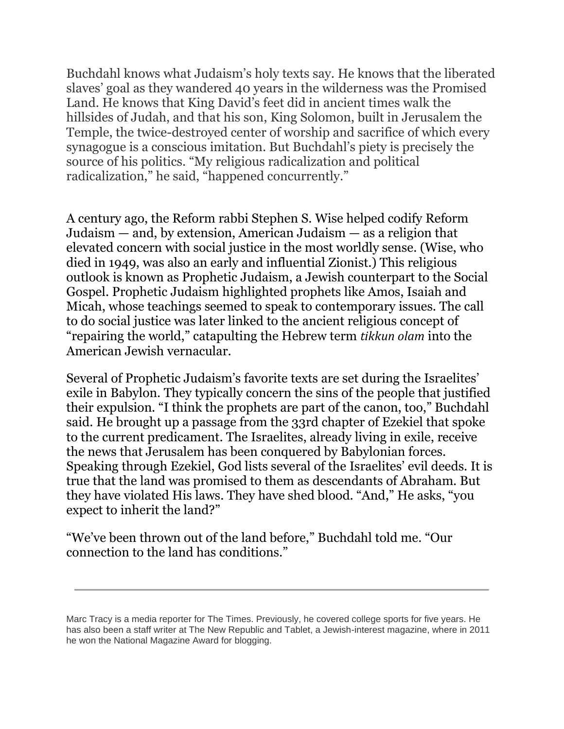Buchdahl knows what Judaism's holy texts say. He knows that the liberated slaves' goal as they wandered 40 years in the wilderness was the Promised Land. He knows that King David's feet did in ancient times walk the hillsides of Judah, and that his son, King Solomon, built in Jerusalem the Temple, the twice-destroyed center of worship and sacrifice of which every synagogue is a conscious imitation. But Buchdahl's piety is precisely the source of his politics. "My religious radicalization and political radicalization," he said, "happened concurrently."

A century ago, the Reform rabbi Stephen S. Wise helped codify Reform Judaism — and, by extension, American Judaism — as a religion that elevated concern with social justice in the most worldly sense. (Wise, who died in 1949, was also an early and influential Zionist.) This religious outlook is known as Prophetic Judaism, a Jewish counterpart to the Social Gospel. Prophetic Judaism highlighted prophets like Amos, Isaiah and Micah, whose teachings seemed to speak to contemporary issues. The call to do social justice was later linked to the ancient religious concept of "repairing the world," catapulting the Hebrew term *tikkun olam* into the American Jewish vernacular.

Several of Prophetic Judaism's favorite texts are set during the Israelites' exile in Babylon. They typically concern the sins of the people that justified their expulsion. "I think the prophets are part of the canon, too," Buchdahl said. He brought up a passage from the 33rd chapter of Ezekiel that spoke to the current predicament. The Israelites, already living in exile, receive the news that Jerusalem has been conquered by Babylonian forces. Speaking through Ezekiel, God lists several of the Israelites' evil deeds. It is true that the land was promised to them as descendants of Abraham. But they have violated His laws. They have shed blood. "And," He asks, "you expect to inherit the land?"

"We've been thrown out of the land before," Buchdahl told me. "Our connection to the land has conditions."

*Marc Tracy is a media reporter for The Times. Previously, he covered college sports for five years. He has also been a staff writer at The New Republic and Tablet, a Jewish-interest magazine, where in 2011 he won the National Magazine Award for blogging.*